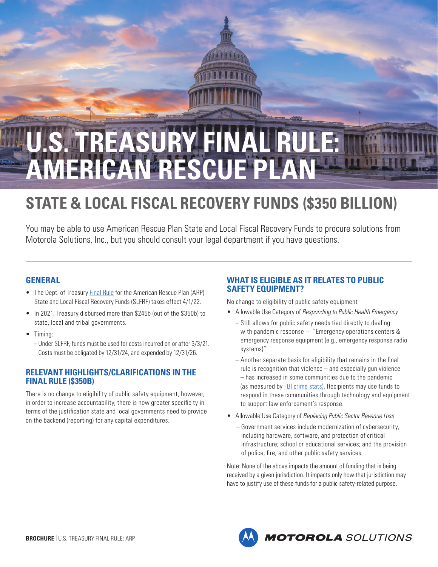

# **U.S. TREASURY FINAL RULE: AMERICAN RESCUE PLAN**

# **STATE & LOCAL FISCAL RECOVERY FUNDS (\$350 BILLION)**

You may be able to use American Rescue Plan State and Local Fiscal Recovery Funds to procure solutions from Motorola Solutions, Inc., but you should consult your legal department if you have questions.

# **GENERAL**

- The Dept. of Treasury [Final Rule](https://home.treasury.gov/policy-issues/coronavirus/assistance-for-state-local-and-tribal-governments/state-and-local-fiscal-recovery-funds) for the American Rescue Plan (ARP) State and Local Fiscal Recovery Funds (SLFRF) takes effect 4/1/22.
- In 2021, Treasury disbursed more than \$245b (out of the \$350b) to state, local and tribal governments.
- Timing:
	- Under SLFRF, funds must be used for costs incurred on or after 3/3/21. Costs must be obligated by 12/31/24, and expended by 12/31/26.

# **RELEVANT HIGHLIGHTS/CLARIFICATIONS IN THE FINAL RULE (\$350B)**

There is no change to eligibility of public safety equipment, however, in order to increase accountability, there is now greater specificity in terms of the justification state and local governments need to provide on the backend (reporting) for any capital expenditures.

# **WHAT IS ELIGIBLE AS IT RELATES TO PUBLIC SAFETY EQUIPMENT?**

No change to eligibility of public safety equipment

- Allowable Use Category of *Responding to Public Health Emergency*
	- Still allows for public safety needs tied directly to dealing with pandemic response -- "Emergency operations centers & emergency response equipment (e.g., emergency response radio systems)"
	- Another separate basis for eligibility that remains in the final rule is recognition that violence – and especially gun violence – has increased in some communities due to the pandemic (as measured by **FBI crime stats**). Recipients may use funds to respond in these communities through technology and equipment to support law enforcement's response.
- Allowable Use Category of *Replacing Public Sector Revenue Loss*
	- Government services include modernization of cybersecurity, including hardware, software, and protection of critical infrastructure; school or educational services; and the provision of police, fire, and other public safety services.

Note: None of the above impacts the amount of funding that is being received by a given jurisdiction. It impacts only how that jurisdiction may have to justify use of these funds for a public safety-related purpose.